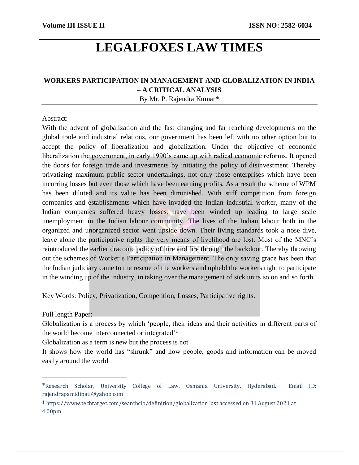# **LEGALFOXES LAW TIMES**

# **WORKERS PARTICIPATION IN MANAGEMENT AND GLOBALIZATION IN INDIA – A CRITICAL ANALYSIS**

By Mr. P. Rajendra Kumar\*

# Abstract:

With the advent of globalization and the fast changing and far reaching developments on the global trade and industrial relations, our government has been left with no other option but to accept the policy of liberalization and globalization. Under the objective of economic liberalization the government, in early 1990's came up with radical economic reforms. It opened the doors for foreign trade and investments by initiating the policy of disinvestment. Thereby privatizing maximum public sector undertakings, not only those enterprises which have been incurring losses but even those which have been earning profits. As a result the scheme of WPM has been diluted and its value has been diminished. With stiff competition from foreign companies and establishments which have invaded the Indian industrial worker, many of the Indian companies suffered heavy losses, have been winded up leading to large scale unemployment in the Indian labour community. The lives of the Indian labour both in the organized and unorganized sector went upside down. Their living standards took a nose dive, leave alone the participative rights the very means of livelihood are lost. Most of the MNC's reintroduced the earlier draconic policy of hire and fire through the backdoor. Thereby throwing out the schemes of Worker's Participation in Management. The only saving grace has been that the Indian judiciary came to the rescue of the workers and upheld the workers right to participate in the winding up of the industry, in taking over the management of sick units so on and so forth.

Key Words: Policy, Privatization, Competition, Losses, Participative rights.

Full length Paper:

 $\overline{a}$ 

Globalization is a process by which 'people, their ideas and their activities in different parts of the world become interconnected or integrated'<sup>1</sup>

Globalization as a term is new but the process is not

It shows how the world has "shrunk" and how people, goods and information can be moved easily around the world

<sup>\*</sup>Research Scholar, University College of Law, Osmania University, Hyderabad. Email ID: rajendrapamidipati@yahoo.com

<sup>1</sup> https://www.techtarget.com/searchcio/definition/globalization last accessed on 31 August 2021 at 4.00pm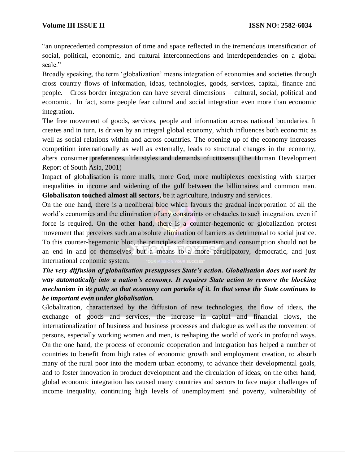"an unprecedented compression of time and space reflected in the tremendous intensification of social, political, economic, and cultural interconnections and interdependencies on a global scale."

Broadly speaking, the term 'globalization' means integration of economies and societies through cross country flows of information, ideas, technologies, goods, services, capital, finance and people. Cross border integration can have several dimensions – cultural, social, political and economic. In fact, some people fear cultural and social integration even more than economic integration.

The free movement of goods, services, people and information across national boundaries. It creates and in turn, is driven by an integral global economy, which influences both economic as well as social relations within and across countries. The opening up of the economy increases competition internationally as well as externally, leads to structural changes in the economy, alters consumer preferences, life styles and demands of citizens (The Human Development Report of South Asia, 2001)

Impact of globalisation is more malls, more God, more multiplexes coexisting with sharper inequalities in income and widening of the gulf between the billionaires and common man. **Globalisaton touched almost all sectors,** be it agriculture, industry and services.

On the one hand, there is a neoliberal bloc which favours the gradual incorporation of all the world's economies and the elimination of any constraints or obstacles to such integration, even if force is required. On the other hand, there is a counter-hegemonic or globalization protest movement that perceives such an absolute elimination of barriers as detrimental to social justice. To this counter-hegemonic bloc, the principles of consumerism and consumption should not be an end in and of themselves, but a means to a more participatory, democratic, and just international economic system.

# *The very diffusion of globalisation presupposes State's action. Globalisation does not work its way automatically into a nation's economy. It requires State action to remove the blocking mechanism in its path; so that economy can partake of it. In that sense the State continues to be important even under globalisation.*

Globalization, characterized by the diffusion of new technologies, the flow of ideas, the exchange of goods and services, the increase in capital and financial flows, the internationalization of business and business processes and dialogue as well as the movement of persons, especially working women and men, is reshaping the world of work in profound ways. On the one hand, the process of economic cooperation and integration has helped a number of countries to benefit from high rates of economic growth and employment creation, to absorb many of the rural poor into the modern urban economy, to advance their developmental goals, and to foster innovation in product development and the circulation of ideas; on the other hand, global economic integration has caused many countries and sectors to face major challenges of income inequality, continuing high levels of unemployment and poverty, vulnerability of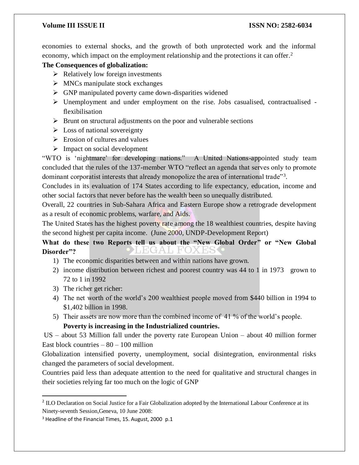economies to external shocks, and the growth of both unprotected work and the informal economy, which impact on the employment relationship and the protections it can offer.<sup>2</sup>

# **The Consequences of globalization:**

- $\triangleright$  Relatively low foreign investments
- $\triangleright$  MNCs manipulate stock exchanges
- $\triangleright$  GNP manipulated poverty came down-disparities widened
- $\triangleright$  Unemployment and under employment on the rise. Jobs casualised, contractualised flexibilisation
- $\triangleright$  Brunt on structural adjustments on the poor and vulnerable sections
- $\triangleright$  Loss of national sovereignty
- $\triangleright$  Erosion of cultures and values
- $\triangleright$  Impact on social development

"WTO is 'nightmare' for developing nations." A United Nations-appointed study team concluded that the rules of the 137-member WTO "reflect an agenda that serves only to promote dominant corporatist interests that already monopolize the area of international trade"<sup>3</sup>.

Concludes in its evaluation of 174 States according to life expectancy, education, income and other social factors that never before has the wealth been so unequally distributed.

Overall, 22 countries in Sub-Sahara Africa and Eastern Europe show a retrograde development as a result of economic problems, warfare, and Aids.

The United States has the highest poverty rate among the 18 wealthiest countries, despite having the second highest per capita income. (June 2000, UNDP-Development Report)

**What do these two Reports tell us about the "New Global Order" or "New Global**  LEGAL FO. X H, **Disorder"?**

- 1) The economic disparities between and within nations have grown.
- 2) income distribution between richest and poorest country was 44 to 1 in 1973 grown to 72 to 1 in 1992
- 3) The richer get richer:

 $\overline{a}$ 

- 4) The net worth of the world's 200 wealthiest people moved from \$440 billion in 1994 to \$1,402 billion in 1998.
- 5) Their assets are now more than the combined income of 41 % of the world's people. **Poverty is increasing in the Industrialized countries.**

US – about 53 Million fall under the poverty rate European Union – about 40 million former East block countries  $-80 - 100$  million

Globalization intensified poverty, unemployment, social disintegration, environmental risks changed the parameters of social development.

Countries paid less than adequate attention to the need for qualitative and structural changes in their societies relying far too much on the logic of GNP

<sup>&</sup>lt;sup>2</sup> ILO Declaration on Social Justice for a Fair Globalization adopted by the International Labour Conference at its Ninety-seventh Session,Geneva, 10 June 2008:

<sup>&</sup>lt;sup>3</sup> Headline of the Financial Times, 15. August, 2000 p.1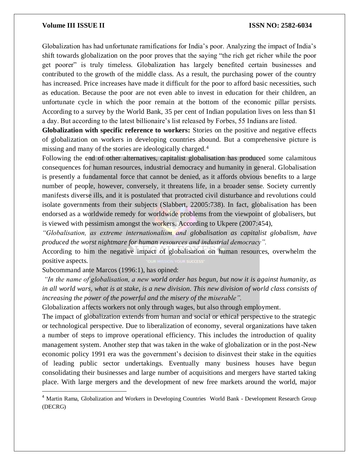Globalization has had unfortunate ramifications for India's poor. Analyzing the impact of India's shift towards globalization on the poor proves that the saying "the rich get richer while the poor get poorer" is truly timeless. Globalization has largely benefited certain businesses and contributed to the growth of the middle class. As a result, the purchasing power of the country has increased. Price increases have made it difficult for the poor to afford basic necessities, such as education. Because the poor are not even able to invest in education for their children, an unfortunate cycle in which the poor remain at the bottom of the economic pillar persists. According to a survey by the World Bank, 35 per cent of Indian population lives on less than \$1 a day. But according to the latest billionaire's list released by Forbes, 55 Indians are listed.

**Globalization with specific reference to workers:** Stories on the positive and negative effects of globalization on workers in developing countries abound. But a comprehensive picture is missing and many of the stories are ideologically charged.<sup>4</sup>

Following the end of other alternatives, capitalist globalisation has produced some calamitous consequences for human resources, industrial democracy and humanity in general. Globalisation is presently a fundamental force that cannot be denied, as it affords obvious benefits to a large number of people, however, conversely, it threatens life, in a broader sense. Society currently manifests diverse ills, and it is postulated that protracted civil disturbance and revolutions could isolate governments from their subjects (Slabbert, 22005:738). In fact, globalisation has been endorsed as a worldwide remedy for worldwide problems from the viewpoint of globalisers, but is viewed with pessimism amongst the workers. According to Ukpere (2007:454),

*"Globalisation, as extreme internationalism and globalisation as capitalist globalism, have produced the worst nightmare for human resources and industrial democracy".* 

According to him the negative impact of globalisation on human resources, overwhelm the positive aspects.

Subcommand ante Marcos (1996:1), has opined:

 $\overline{\phantom{a}}$ 

*"In the name of globalisation, a new world order has begun, but now it is against humanity, as in all world wars, what is at stake, is a new division. This new division of world class consists of increasing the power of the powerful and the misery of the miserable".* 

Globalization affects workers not only through wages, but also through employment.

The impact of globalization extends from human and social or ethical perspective to the strategic or technological perspective. Due to liberalization of economy, several organizations have taken a number of steps to improve operational efficiency. This includes the introduction of quality management system. Another step that was taken in the wake of globalization or in the post-New economic policy 1991 era was the government's decision to disinvest their stake in the equities of leading public sector undertakings. Eventually many business houses have begun consolidating their businesses and large number of acquisitions and mergers have started taking place. With large mergers and the development of new free markets around the world, major

<sup>&</sup>lt;sup>4</sup> Martin Rama, Globalization and Workers in Developing Countries World Bank - Development Research Group (DECRG)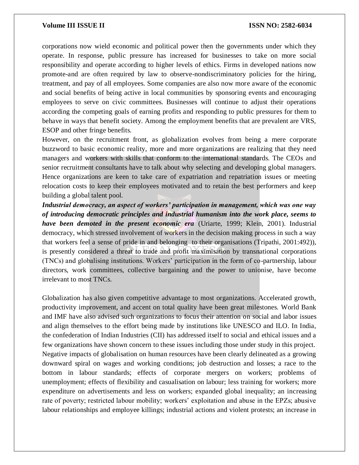corporations now wield economic and political power then the governments under which they operate. In response, public pressure has increased for businesses to take on more social responsibility and operate according to higher levels of ethics. Firms in developed nations now promote-and are often required by law to observe-nondiscriminatory policies for the hiring, treatment, and pay of all employees. Some companies are also now more aware of the economic and social benefits of being active in local communities by sponsoring events and encouraging employees to serve on civic committees. Businesses will continue to adjust their operations according the competing goals of earning profits and responding to public pressures for them to behave in ways that benefit society. Among the employment benefits that are prevalent are VRS, ESOP and other fringe benefits.

However, on the recruitment front, as globalization evolves from being a mere corporate buzzword to basic economic reality, more and more organizations are realizing that they need managers and workers with skills that conform to the international standards. The CEOs and senior recruitment consultants have to talk about why selecting and developing global managers. Hence organizations are keen to take care of expatriation and repatriation issues or meeting relocation costs to keep their employees motivated and to retain the best performers and keep building a global talent pool.

*Industrial democracy, an aspect of workers' participation in management, which was one way of introducing democratic principles and industrial humanism into the work place, seems to have been demoted in the present economic era* (Uriarte, 1999; Klein, 2001). Industrial democracy, which stressed involvement of workers in the decision making process in such a way that workers feel a sense of pride in and belonging to their organisations (Tripathi, 2001:492)), is presently considered a threat to trade and profit maximisation by transnational corporations (TNCs) and globalising institutions. Workers' participation in the form of co-partnership, labour directors, work committees, collective bargaining and the power to unionise, have become irrelevant to most TNCs.

Globalization has also given competitive advantage to most organizations. Accelerated growth, productivity improvement, and accent on total quality have been great milestones. World Bank and IMF have also advised such organizations to focus their attention on social and labor issues and align themselves to the effort being made by institutions like UNESCO and ILO. In India, the confederation of Indian Industries (CII) has addressed itself to social and ethical issues and a few organizations have shown concern to these issues including those under study in this project. Negative impacts of globalisation on human resources have been clearly delineated as a growing downward spiral on wages and working conditions; job destruction and losses; a race to the bottom in labour standards; effects of corporate mergers on workers; problems of unemployment; effects of flexibility and casualisation on labour; less training for workers; more expenditure on advertisements and less on workers; expanded global inequality; an increasing rate of poverty; restricted labour mobility; workers' exploitation and abuse in the EPZs; abusive labour relationships and employee killings; industrial actions and violent protests; an increase in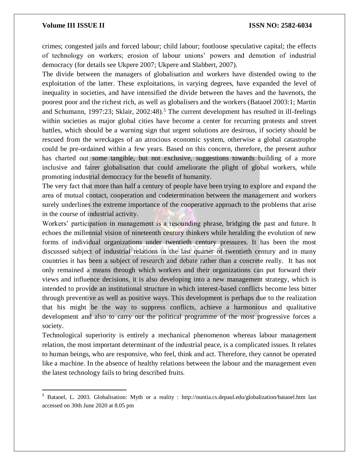$\overline{a}$ 

crimes; congested jails and forced labour; child labour; footloose speculative capital; the effects of technology on workers; erosion of labour unions' powers and demotion of industrial democracy (for details see Ukpere 2007; Ukpere and Slabbert, 2007).

The divide between the managers of globalisation and workers have distended owing to the exploitation of the latter. These exploitations, in varying degrees, have expanded the level of inequality in societies, and have intensified the divide between the haves and the havenots, the poorest poor and the richest rich, as well as globalisers and the workers (Bataoel 2003:1; Martin and Schumann, 1997:23; Sklair, 2002:48).<sup>5</sup> The current development has resulted in ill-feelings within societies as major global cities have become a center for recurring protests and street battles, which should be a warning sign that urgent solutions are desirous, if society should be rescued from the wreckages of an atrocious economic system, otherwise a global catastrophe could be pre-ordained within a few years. Based on this concern, therefore, the present author has charted out some tangible, but not exclusive, suggestions towards building of a more inclusive and fairer globalisation that could ameliorate the plight of global workers, while promoting industrial democracy for the benefit of humanity.

The very fact that more than half a century of people have been trying to explore and expand the area of mutual contact, cooperation and codetermination between the management and workers surely underlines the extreme importance of the cooperative approach to the problems that arise in the course of industrial activity.

Workers' participation in management is a resounding phrase, bridging the past and future. It echoes the millennial vision of nineteenth century thinkers while heralding the evolution of new forms of individual organizations under twentieth century pressures. It has been the most discussed subject of industrial relations in the last quarter of twentieth century and in many countries it has been a subject of research and debate rather than a concrete really. It has not only remained a means through which workers and their organizations can put forward their views and influence decisions, it is also developing into a new management strategy, which is intended to provide an institutional structure in which interest-based conflicts become less bitter through preventive as well as positive ways. This development is perhaps due to the realization that his might be the way to suppress conflicts, achieve a harmonious and qualitative development and also to carry out the political programme of the most progressive forces a society.

Technological superiority is entirely a mechanical phenomenon whereas labour management relation, the most important determinant of the industrial peace, is a complicated issues. It relates to human beings, who are responsive, who feel, think and act. Therefore, they cannot be operated like a machine. In the absence of healthy relations between the labour and the management even the latest technology fails to bring described fruits.

<sup>5</sup> Bataoel, L. 2003. Globalisation: Myth or a reality : http://nuntia.cs.depaul.edu/globalization/bataoel.htm last accessed on 30th June 2020 at 8.05 pm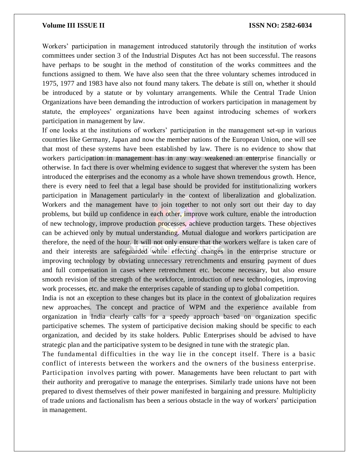Workers' participation in management introduced statutorily through the institution of works committees under section 3 of the Industrial Disputes Act has not been successful. The reasons have perhaps to be sought in the method of constitution of the works committees and the functions assigned to them. We have also seen that the three voluntary schemes introduced in 1975, 1977 and 1983 have also not found many takers. The debate is still on, whether it should be introduced by a statute or by voluntary arrangements. While the Central Trade Union Organizations have been demanding the introduction of workers participation in management by statute, the employees' organizations have been against introducing schemes of workers participation in management by law.

If one looks at the institutions of workers' participation in the management set-up in various countries like Germany, Japan and now the member nations of the European Union, one will see that most of these systems have been established by law. There is no evidence to show that workers participation in management has in any way weakened an enterprise financially or otherwise. In fact there is over whelming evidence to suggest that wherever the system has been introduced the enterprises and the economy as a whole have shown tremendous growth. Hence, there is every need to feel that a legal base should be provided for institutionalizing workers participation in Management particularly in the context of liberalization and globalization. Workers and the management have to join together to not only sort out their day to day problems, but build up confidence in each other, improve work culture, enable the introduction of new technology, improve production processes, achieve production targets. These objectives can be achieved only by mutual understanding. Mutual dialogue and workers participation are therefore, the need of the hour. It will not only ensure that the workers welfare is taken care of and their interests are safeguarded while effecting changes in the enterprise structure or improving technology by obviating unnecessary retrenchments and ensuring payment of dues and full compensation in cases where retrenchment etc. become necessary, but also ensure smooth revision of the strength of the workforce, introduction of new technologies, improving work processes, etc. and make the enterprises capable of standing up to global competition.

India is not an exception to these changes but its place in the context of globalization requires new approaches. The concept and practice of WPM and the experience available from organization in India clearly calls for a speedy approach based on organization specific participative schemes. The system of participative decision making should be specific to each organization, and decided by its stake holders. Public Enterprises should be advised to have strategic plan and the participative system to be designed in tune with the strategic plan.

The fundamental difficulties in the way lie in the concept itself. There is a basic conflict of interests between the workers and the owners of the business enterprise. Participation involves parting with power. Managements have been reluctant to part with their authority and prerogative to manage the enterprises. Similarly trade unions have not been prepared to divest themselves of their power manifested in bargaining and pressure. Multiplicity of trade unions and factionalism has been a serious obstacle in the way of workers' participation in management.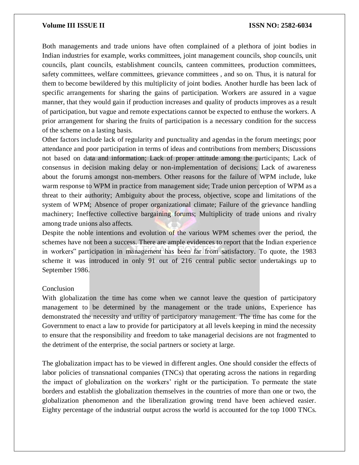Both managements and trade unions have often complained of a plethora of joint bodies in Indian industries for example, works committees, joint management councils, shop councils, unit councils, plant councils, establishment councils, canteen committees, production committees, safety committees, welfare committees, grievance committees , and so on. Thus, it is natural for them to become bewildered by this multiplicity of joint bodies. Another hurdle has been lack of specific arrangements for sharing the gains of participation. Workers are assured in a vague manner, that they would gain if production increases and quality of products improves as a result of participation, but vague and remote expectations cannot be expected to enthuse the workers. A prior arrangement for sharing the fruits of participation is a necessary condition for the success of the scheme on a lasting basis.

Other factors include lack of regularity and punctuality and agendas in the forum meetings; poor attendance and poor participation in terms of ideas and contributions from members; Discussions not based on data and information; Lack of proper attitude among the participants; Lack of consensus in decision making delay or non-implementation of decisions; Lack of awareness about the forums amongst non-members. Other reasons for the failure of WPM include, luke warm response to WPM in practice from management side; Trade union perception of WPM as a threat to their authority; Ambiguity about the process, objective, scope and limitations of the system of WPM; Absence of proper organizational climate; Failure of the grievance handling machinery; Ineffective collective bargaining forums; Multiplicity of trade unions and rivalry among trade unions also affects.

Despite the noble intentions and evolution of the various WPM schemes over the period, the schemes have not been a success. There are ample evidences to report that the Indian experience in workers" participation in management has been far from satisfactory. To quote, the 1983 scheme it was introduced in only 91 out of 216 central public sector undertakings up to September 1986.

# **Conclusion**

With globalization the time has come when we cannot leave the question of participatory management to be determined by the management or the trade unions, Experience has demonstrated the necessity and utility of participatory management. The time has come for the Government to enact a law to provide for participatory at all levels keeping in mind the necessity to ensure that the responsibility and freedom to take managerial decisions are not fragmented to the detriment of the enterprise, the social partners or society at large.

The globalization impact has to be viewed in different angles. One should consider the effects of labor policies of transnational companies (TNCs) that operating across the nations in regarding the impact of globalization on the workers' right or the participation. To permeate the state borders and establish the globalization themselves in the countries of more than one or two, the globalization phenomenon and the liberalization growing trend have been achieved easier. Eighty percentage of the industrial output across the world is accounted for the top 1000 TNCs.